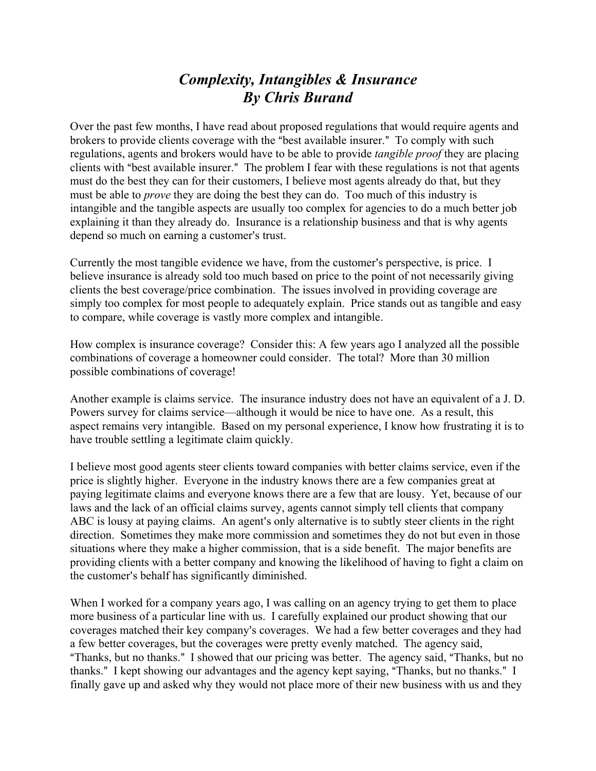## *Complexity, Intangibles & Insurance By Chris Burand*

Over the past few months, I have read about proposed regulations that would require agents and brokers to provide clients coverage with the "best available insurer." To comply with such regulations, agents and brokers would have to be able to provide *tangible proof* they are placing clients with "best available insurer." The problem I fear with these regulations is not that agents must do the best they can for their customers, I believe most agents already do that, but they must be able to *prove* they are doing the best they can do. Too much of this industry is intangible and the tangible aspects are usually too complex for agencies to do a much better job explaining it than they already do. Insurance is a relationship business and that is why agents depend so much on earning a customer's trust.

Currently the most tangible evidence we have, from the customer's perspective, is price. I believe insurance is already sold too much based on price to the point of not necessarily giving clients the best coverage/price combination. The issues involved in providing coverage are simply too complex for most people to adequately explain. Price stands out as tangible and easy to compare, while coverage is vastly more complex and intangible.

How complex is insurance coverage? Consider this: A few years ago I analyzed all the possible combinations of coverage a homeowner could consider. The total? More than 30 million possible combinations of coverage!

Another example is claims service. The insurance industry does not have an equivalent of a J. D. Powers survey for claims service—although it would be nice to have one. As a result, this aspect remains very intangible. Based on my personal experience, I know how frustrating it is to have trouble settling a legitimate claim quickly.

I believe most good agents steer clients toward companies with better claims service, even if the price is slightly higher. Everyone in the industry knows there are a few companies great at paying legitimate claims and everyone knows there are a few that are lousy. Yet, because of our laws and the lack of an official claims survey, agents cannot simply tell clients that company ABC is lousy at paying claims. An agent's only alternative is to subtly steer clients in the right direction. Sometimes they make more commission and sometimes they do not but even in those situations where they make a higher commission, that is a side benefit. The major benefits are providing clients with a better company and knowing the likelihood of having to fight a claim on the customer's behalf has significantly diminished.

When I worked for a company years ago, I was calling on an agency trying to get them to place more business of a particular line with us. I carefully explained our product showing that our coverages matched their key company's coverages. We had a few better coverages and they had a few better coverages, but the coverages were pretty evenly matched. The agency said, "Thanks, but no thanks." I showed that our pricing was better. The agency said, "Thanks, but no thanks." I kept showing our advantages and the agency kept saying, "Thanks, but no thanks." I finally gave up and asked why they would not place more of their new business with us and they